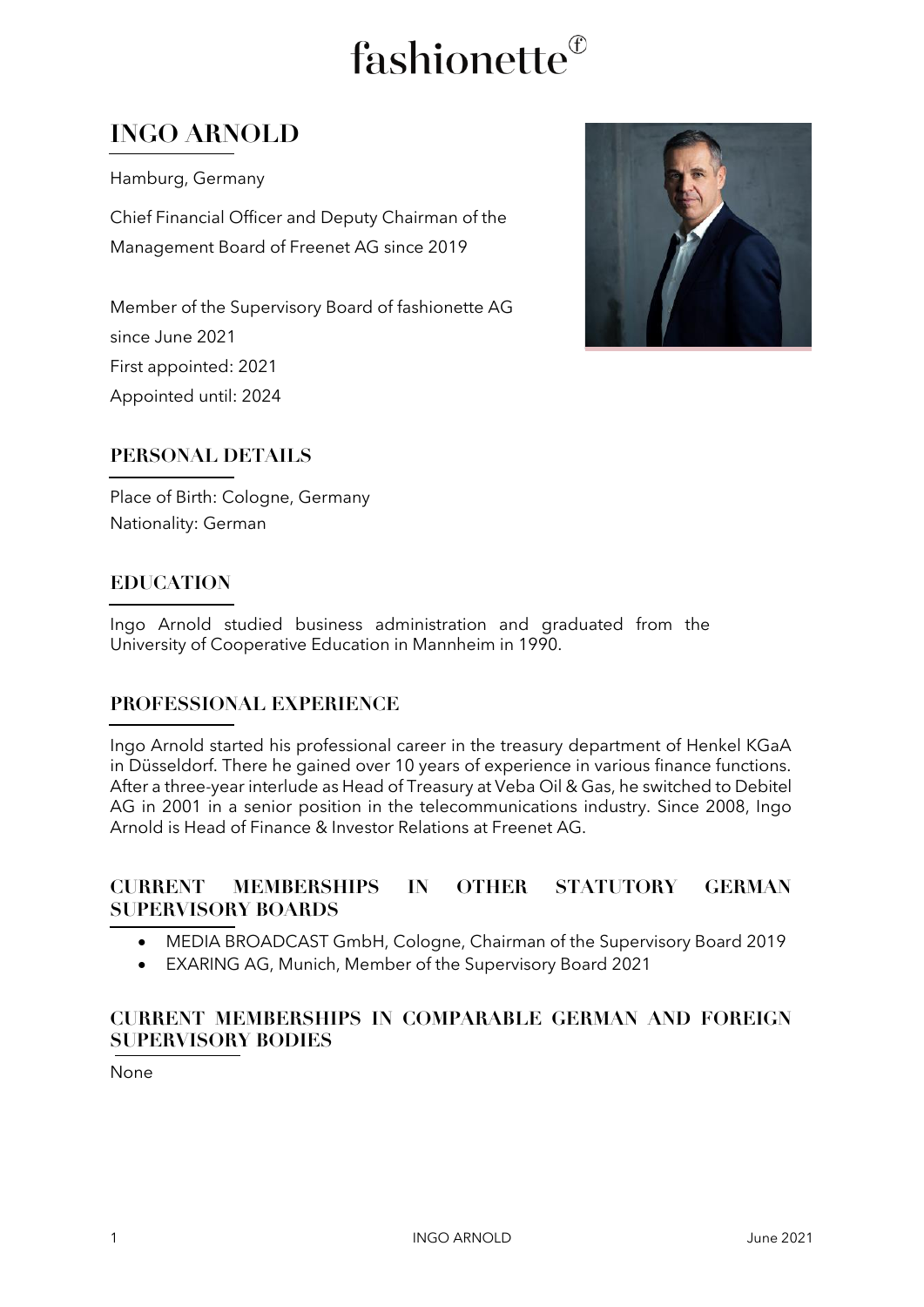# fashionette®

### **INGO ARNOLD**

Hamburg, Germany

Chief Financial Officer and Deputy Chairman of the Management Board of Freenet AG since 2019

Member of the Supervisory Board of fashionette AG since June 2021 First appointed: 2021 Appointed until: 2024



Place of Birth: Cologne, Germany Nationality: German

#### **EDUCATION**

Ingo Arnold studied business administration and graduated from the University of Cooperative Education in Mannheim in 1990.

#### **PROFESSIONAL EXPERIENCE**

Ingo Arnold started his professional career in the treasury department of Henkel KGaA in Düsseldorf. There he gained over 10 years of experience in various finance functions. After a three-year interlude as Head of Treasury at Veba Oil & Gas, he switched to Debitel AG in 2001 in a senior position in the telecommunications industry. Since 2008, Ingo Arnold is Head of Finance & Investor Relations at Freenet AG.

#### **CURRENT MEMBERSHIPS IN OTHER STATUTORY GERMAN SUPERVISORY BOARDS**

- MEDIA BROADCAST GmbH, Cologne, Chairman of the Supervisory Board 2019
- EXARING AG, Munich, Member of the Supervisory Board 2021

#### **CURRENT MEMBERSHIPS IN COMPARABLE GERMAN AND FOREIGN SUPERVISORY BODIES**

None